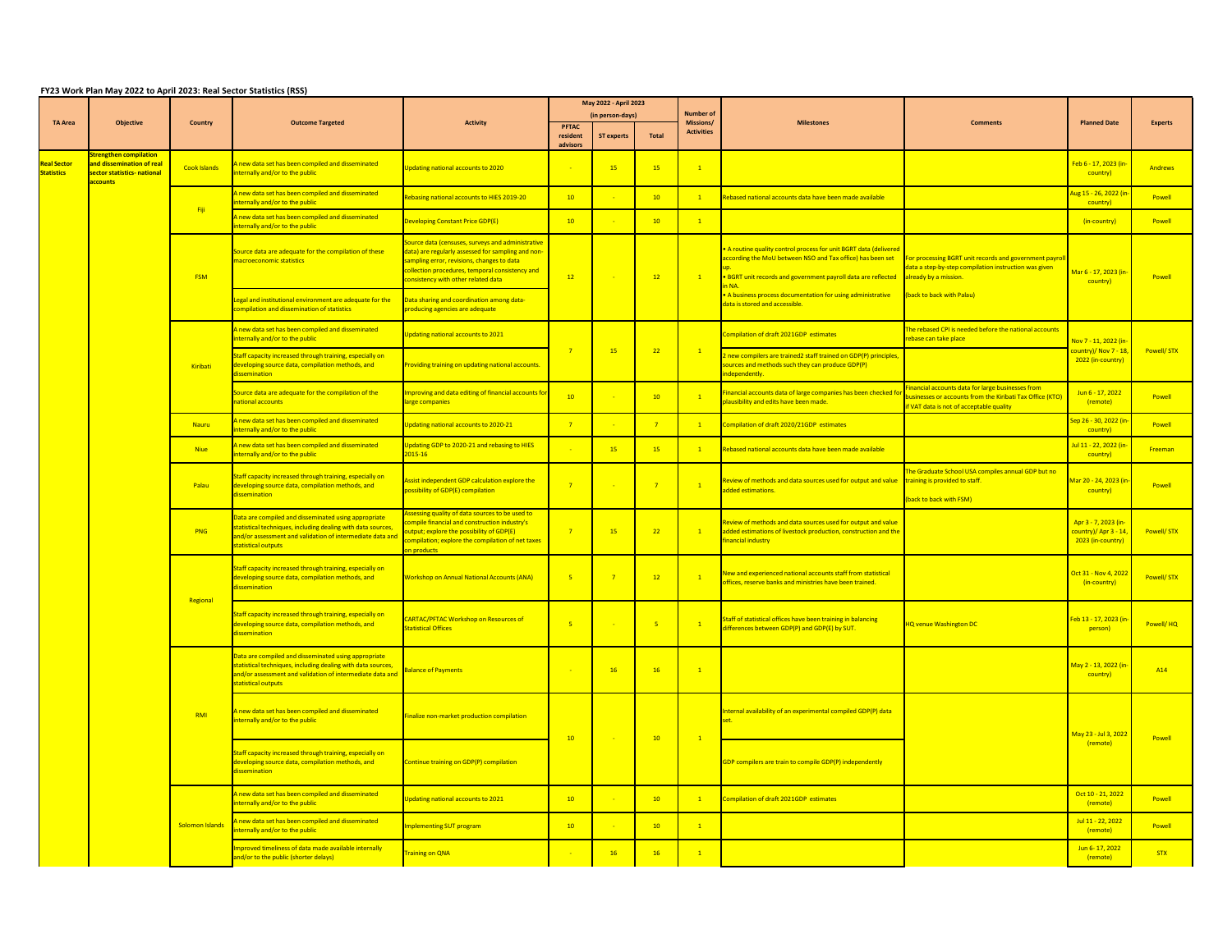## **FY23 Work Plan May 2022 to April 2023: Real Sector Statistics (RSS)**

|                                         | <b>Objective</b>                                                     | <b>Country</b>         | <b>Outcome Targeted</b>                                                                                                                                                                                  | <b>Activity</b>                                                                                                                                                                                                                                 | May 2022 - April 2023    |                   |                |                               |                                                                                                                                                                                                  |                                                                                                                                                           |                                                                    |                   |
|-----------------------------------------|----------------------------------------------------------------------|------------------------|----------------------------------------------------------------------------------------------------------------------------------------------------------------------------------------------------------|-------------------------------------------------------------------------------------------------------------------------------------------------------------------------------------------------------------------------------------------------|--------------------------|-------------------|----------------|-------------------------------|--------------------------------------------------------------------------------------------------------------------------------------------------------------------------------------------------|-----------------------------------------------------------------------------------------------------------------------------------------------------------|--------------------------------------------------------------------|-------------------|
| <b>TA Area</b>                          |                                                                      |                        |                                                                                                                                                                                                          |                                                                                                                                                                                                                                                 | (in person-days)         |                   |                | <b>Number of</b><br>Missions/ | <b>Milestones</b>                                                                                                                                                                                | <b>Comments</b>                                                                                                                                           | <b>Planned Date</b>                                                | <b>Experts</b>    |
|                                         |                                                                      |                        |                                                                                                                                                                                                          |                                                                                                                                                                                                                                                 | <b>PFTAC</b><br>resident | <b>ST experts</b> | Total          | <b>Activities</b>             |                                                                                                                                                                                                  |                                                                                                                                                           |                                                                    |                   |
|                                         | <b>Strengthen compilation</b>                                        |                        |                                                                                                                                                                                                          |                                                                                                                                                                                                                                                 | advisors                 |                   |                |                               |                                                                                                                                                                                                  |                                                                                                                                                           |                                                                    |                   |
| <b>Real Sector</b><br><b>Statistics</b> | and dissemination of real<br>sector statistics- national<br>accounts | Cook Islands           | A new data set has been compiled and disseminated<br>internally and/or to the public                                                                                                                     | Updating national accounts to 2020                                                                                                                                                                                                              |                          | 15                | 15             | $\mathbf{1}$                  |                                                                                                                                                                                                  |                                                                                                                                                           | Feb 6 - 17, 2023 (in<br>country)                                   | Andrews           |
|                                         |                                                                      | <b>Fiji</b>            | A new data set has been compiled and disseminated<br>internally and/or to the public                                                                                                                     | Rebasing national accounts to HIES 2019-20                                                                                                                                                                                                      | 10                       |                   | 10             | 1                             | Rebased national accounts data have been made available                                                                                                                                          |                                                                                                                                                           | <mark>\ug 15 - 26, 2022 (ir</mark><br>country)                     | Powell            |
|                                         |                                                                      |                        | A new data set has been compiled and disseminated<br>internally and/or to the public                                                                                                                     | Developing Constant Price GDP(E)                                                                                                                                                                                                                | 10                       |                   | 10             | $\mathbf{1}$                  |                                                                                                                                                                                                  |                                                                                                                                                           | (in-country)                                                       | Powell            |
|                                         |                                                                      | <b>FSM</b>             | Source data are adequate for the compilation of these<br>macroeconomic statistics                                                                                                                        | Source data (censuses, surveys and administrative<br>data) are regularly assessed for sampling and non-<br>sampling error, revisions, changes to data<br>collection procedures, temporal consistency and<br>consistency with other related data | 12                       |                   | 12             | $\mathbf{1}$                  | . A routine quality control process for unit BGRT data (delivered<br>according the MoU between NSO and Tax office) has been set<br>. BGRT unit records and government payroll data are reflected | For processing BGRT unit records and government payrol<br>lata a step-by-step compilation instruction was given<br>already by a mission.                  | Mar 6 - 17, 2023 (in-<br><mark>country)</mark>                     | Powell            |
|                                         |                                                                      |                        | Legal and institutional environment are adequate for the<br>compilation and dissemination of statistics                                                                                                  | Data sharing and coordination among data-<br>producing agencies are adequate                                                                                                                                                                    |                          |                   |                |                               | • A business process documentation for using administrative<br>data is stored and accessible.                                                                                                    | (back to back with Palau)                                                                                                                                 |                                                                    |                   |
|                                         |                                                                      | Kiribati               | A new data set has been compiled and disseminated<br>internally and/or to the public                                                                                                                     | Updating national accounts to 2021                                                                                                                                                                                                              |                          | 15                | 22             |                               | Compilation of draft 2021GDP estimates                                                                                                                                                           | The rebased CPI is needed before the national accounts<br>rebase can take place                                                                           | Nov 7 - 11, 2022 (in-                                              | Powell/ STX       |
|                                         |                                                                      |                        | Staff capacity increased through training, especially on<br>developing source data, compilation methods, and<br>dissemination                                                                            | Providing training on updating national accounts.                                                                                                                                                                                               |                          |                   |                |                               | new compilers are trained2 staff trained on GDP(P) principles,<br>sources and methods such they can produce GDP(P)<br>ndependently <mark>.</mark>                                                |                                                                                                                                                           | <mark>country)/ Nov 7 - 18,</mark><br>2022 (in-country)            |                   |
|                                         |                                                                      |                        | Source data are adequate for the compilation of the<br>national accounts                                                                                                                                 | Improving and data editing of financial accounts for<br>large companies                                                                                                                                                                         | 10                       |                   | 10             |                               | inancial accounts data of large companies has been checked for<br>plausibility and edits have been made.                                                                                         | inancial accounts data for large businesses from<br>ousinesses or accounts from the Kiribati Tax Office (KTO)<br>if VAT data is not of acceptable quality | Jun 6 - 17, 2022<br>(remote)                                       | Powell            |
|                                         |                                                                      | Nauru                  | A new data set has been compiled and disseminated<br>internally and/or to the public                                                                                                                     | Updating national accounts to 2020-21                                                                                                                                                                                                           | $\overline{7}$           |                   | $\overline{7}$ | $\mathbf{1}$                  | Compilation of draft 2020/21GDP estimates                                                                                                                                                        |                                                                                                                                                           | <mark>Sep 26 - 30, 2022 (ir</mark><br>country)                     | Powell            |
|                                         |                                                                      | <b>Niue</b>            | A new data set has been compiled and disseminated<br>internally and/or to the public                                                                                                                     | Updating GDP to 2020-21 and rebasing to HIES<br>2015-16                                                                                                                                                                                         |                          | 15                | 15             |                               | Rebased national accounts data have been made available                                                                                                                                          |                                                                                                                                                           | Jul 11 - 22, 2022 (i<br>country)                                   | Freeman           |
|                                         |                                                                      | Palau                  | Staff capacity increased through training, especially on<br>developing source data, compilation methods, and<br>dissemination                                                                            | Assist independent GDP calculation explore the<br>possibility of GDP(E) compilation                                                                                                                                                             |                          |                   |                |                               | Review of methods and data sources used for output and value $\frac{1}{1}$ training is provided to staff.<br>added estimations.                                                                  | The Graduate School USA compiles annual GDP but no<br>(back to back with FSM)                                                                             | Mar 20 - 24, 2023 (in-<br>country)                                 | Powell            |
|                                         |                                                                      | <b>PNG</b>             | Data are compiled and disseminated using appropriate<br>statistical techniques, including dealing with data sources,<br>and/or assessment and validation of intermediate data an<br>statistical outputs  | Assessing quality of data sources to be used to<br>compile financial and construction industry's<br>output; explore the possibility of GDP(E)<br>compilation; explore the compilation of net taxes<br>on products                               |                          | 15                | 22             | $\mathbf{1}$                  | Review of methods and data sources used for output and value<br>added estimations of livestock production, construction and the<br>inancial industry                                             |                                                                                                                                                           | Apr 3 - 7, 2023 (in-<br>country)/ Apr 3 - 14,<br>2023 (in-country) | <b>Powell/STX</b> |
|                                         |                                                                      | Regional               | Staff capacity increased through training, especially on<br>developing source data, compilation methods, and<br>dissemination                                                                            | <b>Workshop on Annual National Accounts (ANA)</b>                                                                                                                                                                                               | $-5$                     | $\overline{7}$    | 12             |                               | New and experienced national accounts staff from statistical<br>offices, reserve banks and ministries have been trained.                                                                         |                                                                                                                                                           | Oct 31 - Nov 4, 2022<br>(in-country)                               | <b>Powell/STX</b> |
|                                         |                                                                      |                        | Staff capacity increased through training, especially on<br>developing source data, compilation methods, and<br>dissemination                                                                            | <b>CARTAC/PFTAC Workshop on Resources of</b><br><b>Statistical Offices</b>                                                                                                                                                                      | $-5$                     |                   | $-5$           | $\mathbf{1}$                  | Staff of statistical offices have been training in balancing<br>differences between GDP(P) and GDP(E) by SUT.                                                                                    | <b>HQ venue Washington DC</b>                                                                                                                             | Feb 13 - 17, 2023 (ir<br>person)                                   | Powell/HQ         |
|                                         |                                                                      |                        | Data are compiled and disseminated using appropriate<br>statistical techniques, including dealing with data sources,<br>and/or assessment and validation of intermediate data and<br>statistical outputs | <b>Balance of Payments</b>                                                                                                                                                                                                                      |                          | 16                | 16             | $\mathbf{1}$                  |                                                                                                                                                                                                  |                                                                                                                                                           | May 2 - 13, 2022 (in-<br>country)                                  | A <sub>14</sub>   |
|                                         |                                                                      | RMI                    | A new data set has been compiled and disseminated<br>internally and/or to the public                                                                                                                     | Finalize non-market production compilation                                                                                                                                                                                                      | 10                       |                   | 10             |                               | nternal availability of an experimental compiled GDP(P) data                                                                                                                                     |                                                                                                                                                           | May 23 - Jul 3, 2022                                               | Powell            |
|                                         |                                                                      |                        | Staff capacity increased through training, especially on<br>developing source data, compilation methods, and<br>dissemination                                                                            | Continue training on GDP(P) compilation                                                                                                                                                                                                         |                          |                   |                |                               | GDP compilers are train to compile GDP(P) independently                                                                                                                                          |                                                                                                                                                           | (remote)                                                           |                   |
|                                         |                                                                      | <b>Solomon Islands</b> | A new data set has been compiled and disseminated<br>internally and/or to the public                                                                                                                     | Updating national accounts to 2021                                                                                                                                                                                                              | 10                       |                   | 10             |                               | Compilation of draft 2021GDP estimates                                                                                                                                                           |                                                                                                                                                           | Oct 10 - 21, 2022<br>(remote)                                      | Powell            |
|                                         |                                                                      |                        | A new data set has been compiled and disseminated<br>internally and/or to the public                                                                                                                     | Implementing SUT program                                                                                                                                                                                                                        | 10                       |                   | 10             |                               |                                                                                                                                                                                                  |                                                                                                                                                           | Jul 11 - 22, 2022<br>(remote)                                      | Powell            |
|                                         |                                                                      |                        | Improved timeliness of data made available internally<br>and/or to the public (shorter delays)                                                                                                           | <b>Training on QNA</b>                                                                                                                                                                                                                          |                          | 16                | 16             |                               |                                                                                                                                                                                                  |                                                                                                                                                           | Jun 6-17, 2022<br>(remote)                                         | <b>STX</b>        |